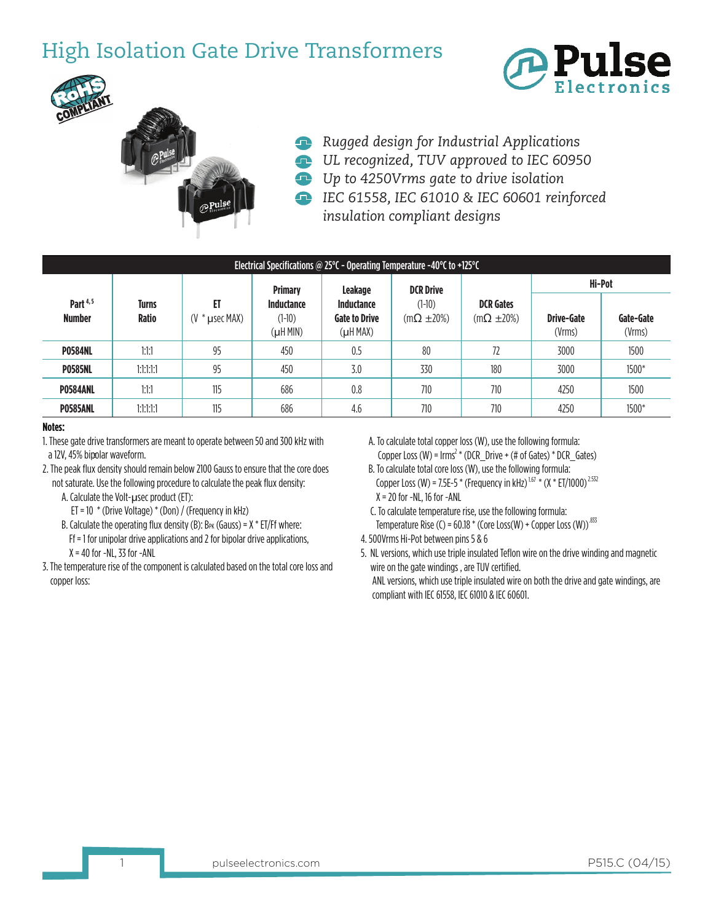## High Isolation Gate Drive Transformers





- *Rugged design for Industrial Applications*
- *UL recognized, TUV approved to IEC 60950*
- *Up to 4250Vrms gate to drive isolation*
- *IEC 61558, IEC 61010 & IEC 60601 reinforced insulation compliant designs*

| Electrical Specifications @ 25°C - Operating Temperature -40°C to +125°C |                              |                                 |                                                      |                                                                          |                                                      |                                          |                             |                     |  |  |  |  |
|--------------------------------------------------------------------------|------------------------------|---------------------------------|------------------------------------------------------|--------------------------------------------------------------------------|------------------------------------------------------|------------------------------------------|-----------------------------|---------------------|--|--|--|--|
| Part <sup>4,5</sup><br><b>Number</b>                                     | <b>Turns</b><br><b>Ratio</b> | ET<br>" * µsec MAX)<br>$\alpha$ | <b>Primary</b><br>Inductance<br>$(1-10)$<br>(µH MIN) | <b>Leakage</b><br>Inductance<br><b>Gate to Drive</b><br>$(\mu$ H MAX $)$ | <b>DCR Drive</b><br>$(1-10)$<br>$(m\Omega \pm 20\%)$ | <b>DCR</b> Gates<br>$(m\Omega \pm 20\%)$ | Hi-Pot                      |                     |  |  |  |  |
|                                                                          |                              |                                 |                                                      |                                                                          |                                                      |                                          | <b>Drive-Gate</b><br>(Vrms) | Gate-Gate<br>(Vrms) |  |  |  |  |
| <b>P0584NL</b>                                                           | 1:1:1                        | 95                              | 450                                                  | 0.5                                                                      | 80                                                   | 72                                       | 3000                        | 1500                |  |  |  |  |
| <b>P0585NL</b>                                                           | 1:1:1:1:1                    | 95                              | 450                                                  | 3.0                                                                      | 330                                                  | 180                                      | 3000                        | 1500*               |  |  |  |  |
| <b>P0584ANL</b>                                                          | 1:1:1                        | 115                             | 686                                                  | 0.8                                                                      | 710                                                  | 710                                      | 4250                        | 1500                |  |  |  |  |
| <b>P0585ANL</b>                                                          | 1:1:1:1:1                    | 115                             | 686                                                  | 4.6                                                                      | 710                                                  | 710                                      | 4250                        | 1500*               |  |  |  |  |

## **Notes:**

- 1. These gate drive transformers are meant to operate between 50 and 300 kHz with a 12V, 45% bipolar waveform. 3
- 2. The peak flux density should remain below 2100 Gauss to ensure that the core does not saturate. Use the following procedure to calculate the peak flux density:

A. Calculate the Volt-µsec product (ET):

- ET = 10  $*$  (Drive Voltage)  $*$  (Don) / (Frequency in kHz)
- B. Calculate the operating flux density (B):  $B_{PK}$  (Gauss) =  $X * E T/Ff$  where:
- Ff = 1 for unipolar drive applications and 2 for bipolar drive applications,  $X = 40$  for  $-NL$ , 33 for  $-ANL$
- 3. The temperature rise of the component is calculated based on the total core loss and copper loss:
- A. To calculate total copper loss (W), use the following formula: Copper Loss (W) =  $\text{lrms}^2$  \* (DCR\_Drive + (# of Gates) \* DCR\_Gates)
- B. To calculate total core loss (W), use the following formula: Copper Loss (W) = 7.5E-5  $*$  (Frequency in kHz)<sup>1.67</sup>  $*$  (X  $*$  ET/1000)<sup>2.532</sup>  $X = 20$  for  $-NL$ , 16 for  $-ANL$
- C. To calculate temperature rise, use the following formula: Temperature Rise (C) =  $60.18 *$  (Core Loss(W) + Copper Loss (W))<sup>.833</sup>
	- 4. 500Vrms Hi-Pot between pins 5 & 6
	- 5. NL versions, which use triple insulated Teflon wire on the drive winding and magnetic wire on the gate windings , are TUV certified. ANL versions, which use triple insulated wire on both the drive and gate windings, are

compliant with IEC 61558, IEC 61010 & IEC 60601.